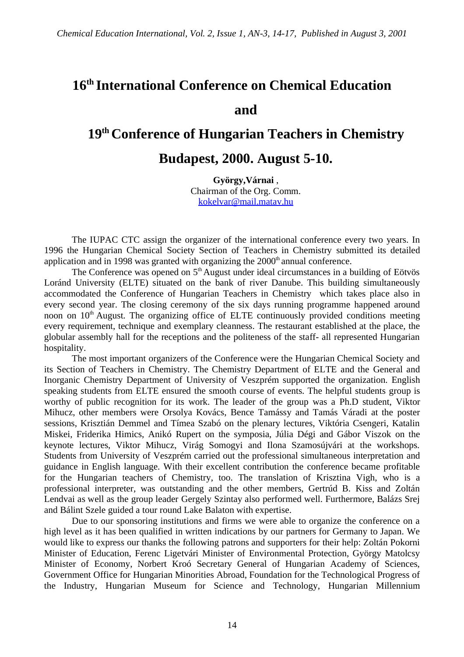## **16th International Conference on Chemical Education and**

## **19th Conference of Hungarian Teachers in Chemistry**

## **Budapest, 2000. August 5-10.**

**György,Várnai** , Chairman of the Org. Comm. kokelvar@mail.matav.hu

The IUPAC CTC assign the organizer of the international conference every two years. In 1996 the Hungarian Chemical Society Section of Teachers in Chemistry submitted its detailed application and in 1998 was granted with organizing the  $2000<sup>th</sup>$  annual conference.

The Conference was opened on  $5<sup>th</sup>$  August under ideal circumstances in a building of Eötvös Loránd University (ELTE) situated on the bank of river Danube. This building simultaneously accommodated the Conference of Hungarian Teachers in Chemistry which takes place also in every second year. The closing ceremony of the six days running programme happened around noon on 10<sup>th</sup> August. The organizing office of ELTE continuously provided conditions meeting every requirement, technique and exemplary cleanness. The restaurant established at the place, the globular assembly hall for the receptions and the politeness of the staff- all represented Hungarian hospitality.

The most important organizers of the Conference were the Hungarian Chemical Society and its Section of Teachers in Chemistry. The Chemistry Department of ELTE and the General and Inorganic Chemistry Department of University of Veszprém supported the organization. English speaking students from ELTE ensured the smooth course of events. The helpful students group is worthy of public recognition for its work. The leader of the group was a Ph.D student, Viktor Mihucz, other members were Orsolya Kovács, Bence Tamássy and Tamás Váradi at the poster sessions, Krisztián Demmel and Tímea Szabó on the plenary lectures, Viktória Csengeri, Katalin Miskei, Friderika Himics, Anikó Rupert on the symposia, Júlia Dégi and Gábor Viszok on the keynote lectures, Viktor Mihucz, Virág Somogyi and Ilona Szamosújvári at the workshops. Students from University of Veszprém carried out the professional simultaneous interpretation and guidance in English language. With their excellent contribution the conference became profitable for the Hungarian teachers of Chemistry, too. The translation of Krisztina Vigh, who is a professional interpreter, was outstanding and the other members, Gertrúd B. Kiss and Zoltán Lendvai as well as the group leader Gergely Szintay also performed well. Furthermore, Balázs Srej and Bálint Szele guided a tour round Lake Balaton with expertise.

Due to our sponsoring institutions and firms we were able to organize the conference on a high level as it has been qualified in written indications by our partners for Germany to Japan. We would like to express our thanks the following patrons and supporters for their help: Zoltán Pokorni Minister of Education, Ferenc Ligetvári Minister of Environmental Protection, György Matolcsy Minister of Economy, Norbert Kroó Secretary General of Hungarian Academy of Sciences, Government Office for Hungarian Minorities Abroad, Foundation for the Technological Progress of the Industry, Hungarian Museum for Science and Technology, Hungarian Millennium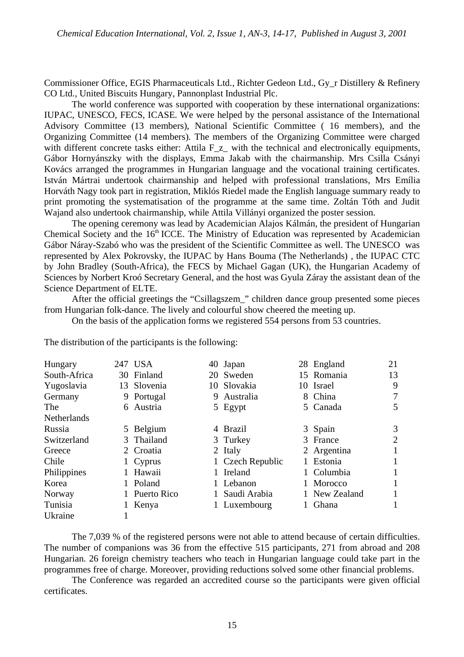Commissioner Office, EGIS Pharmaceuticals Ltd., Richter Gedeon Ltd., Gy\_r Distillery & Refinery CO Ltd., United Biscuits Hungary, Pannonplast Industrial Plc.

The world conference was supported with cooperation by these international organizations: IUPAC, UNESCO, FECS, ICASE. We were helped by the personal assistance of the International Advisory Committee (13 members), National Scientific Committee ( 16 members), and the Organizing Committee (14 members). The members of the Organizing Committee were charged with different concrete tasks either: Attila F<sub>\_z\_</sub> with the technical and electronically equipments, Gábor Hornyánszky with the displays, Emma Jakab with the chairmanship. Mrs Csilla Csányi Kovács arranged the programmes in Hungarian language and the vocational training certificates. István Mártrai undertook chairmanship and helped with professional translations, Mrs Emília Horváth Nagy took part in registration, Miklós Riedel made the English language summary ready to print promoting the systematisation of the programme at the same time. Zoltán Tóth and Judit Wajand also undertook chairmanship, while Attila Villányi organized the poster session.

The opening ceremony was lead by Academician Alajos Kálmán, the president of Hungarian Chemical Society and the  $16<sup>th</sup> ICCE$ . The Ministry of Education was represented by Academician Gábor Náray-Szabó who was the president of the Scientific Committee as well. The UNESCO was represented by Alex Pokrovsky, the IUPAC by Hans Bouma (The Netherlands) , the IUPAC CTC by John Bradley (South-Africa), the FECS by Michael Gagan (UK), the Hungarian Academy of Sciences by Norbert Kroó Secretary General, and the host was Gyula Záray the assistant dean of the Science Department of ELTE.

After the official greetings the "Csillagszem\_" children dance group presented some pieces from Hungarian folk-dance. The lively and colourful show cheered the meeting up.

On the basis of the application forms we registered 554 persons from 53 countries.

| Hungary            | 247 USA       | 40 Japan         | 28 England    | 21 |
|--------------------|---------------|------------------|---------------|----|
| South-Africa       | 30 Finland    | 20 Sweden        | 15 Romania    | 13 |
| Yugoslavia         | 13 Slovenia   | 10 Slovakia      | 10 Israel     | 9  |
| Germany            | 9 Portugal    | 9 Australia      | 8 China       | 7  |
| The                | 6 Austria     | 5 Egypt          | 5 Canada      | 5  |
| <b>Netherlands</b> |               |                  |               |    |
| Russia             | 5 Belgium     | 4 Brazil         | 3 Spain       | 3  |
| Switzerland        | 3 Thailand    | 3 Turkey         | 3 France      | 2  |
| Greece             | 2 Croatia     | 2 Italy          | 2 Argentina   |    |
| Chile              | 1 Cyprus      | 1 Czech Republic | 1 Estonia     | 1  |
| Philippines        | Hawaii        | Ireland          | 1 Columbia    |    |
| Korea              | 1 Poland      | Lebanon          | 1 Morocco     |    |
| Norway             | 1 Puerto Rico | Saudi Arabia     | 1 New Zealand |    |
| Tunisia            | Kenya         | Luxembourg       | Ghana         |    |
| Ukraine            |               |                  |               |    |

The distribution of the participants is the following:

The 7,039 % of the registered persons were not able to attend because of certain difficulties. The number of companions was 36 from the effective 515 participants, 271 from abroad and 208 Hungarian. 26 foreign chemistry teachers who teach in Hungarian language could take part in the programmes free of charge. Moreover, providing reductions solved some other financial problems.

The Conference was regarded an accredited course so the participants were given official certificates.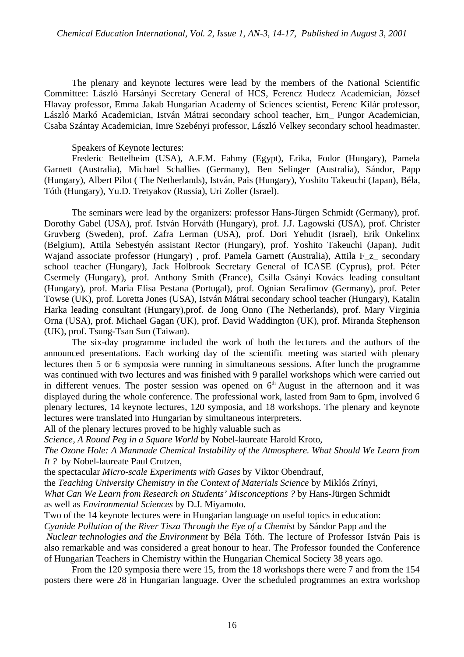The plenary and keynote lectures were lead by the members of the National Scientific Committee: László Harsányi Secretary General of HCS, Ferencz Hudecz Academician, József Hlavay professor, Emma Jakab Hungarian Academy of Sciences scientist, Ferenc Kilár professor, László Markó Academician, István Mátrai secondary school teacher, Ern\_ Pungor Academician, Csaba Szántay Academician, Imre Szebényi professor, László Velkey secondary school headmaster.

Speakers of Keynote lectures:

Frederic Bettelheim (USA), A.F.M. Fahmy (Egypt), Erika, Fodor (Hungary), Pamela Garnett (Australia), Michael Schallies (Germany), Ben Selinger (Australia), Sándor, Papp (Hungary), Albert Pilot ( The Netherlands), István, Pais (Hungary), Yoshito Takeuchi (Japan), Béla, Tóth (Hungary), Yu.D. Tretyakov (Russia), Uri Zoller (Israel).

The seminars were lead by the organizers: professor Hans-Jürgen Schmidt (Germany), prof. Dorothy Gabel (USA), prof. István Horváth (Hungary), prof. J.J. Lagowski (USA), prof. Christer Gruvberg (Sweden), prof. Zafra Lerman (USA), prof. Dori Yehudit (Israel), Erik Onkelinx (Belgium), Attila Sebestyén assistant Rector (Hungary), prof. Yoshito Takeuchi (Japan), Judit Wajand associate professor (Hungary), prof. Pamela Garnett (Australia), Attila F z secondary school teacher (Hungary), Jack Holbrook Secretary General of ICASE (Cyprus), prof. Péter Csermely (Hungary), prof. Anthony Smith (France), Csilla Csányi Kovács leading consultant (Hungary), prof. Maria Elisa Pestana (Portugal), prof. Ognian Serafimov (Germany), prof. Peter Towse (UK), prof. Loretta Jones (USA), István Mátrai secondary school teacher (Hungary), Katalin Harka leading consultant (Hungary),prof. de Jong Onno (The Netherlands), prof. Mary Virginia Orna (USA), prof. Michael Gagan (UK), prof. David Waddington (UK), prof. Miranda Stephenson (UK), prof. Tsung-Tsan Sun (Taiwan).

The six-day programme included the work of both the lecturers and the authors of the announced presentations. Each working day of the scientific meeting was started with plenary lectures then 5 or 6 symposia were running in simultaneous sessions. After lunch the programme was continued with two lectures and was finished with 9 parallel workshops which were carried out in different venues. The poster session was opened on  $6<sup>th</sup>$  August in the afternoon and it was displayed during the whole conference. The professional work, lasted from 9am to 6pm, involved 6 plenary lectures, 14 keynote lectures, 120 symposia, and 18 workshops. The plenary and keynote lectures were translated into Hungarian by simultaneous interpreters.

All of the plenary lectures proved to be highly valuable such as

*Science, A Round Peg in a Square World* by Nobel-laureate Harold Kroto,

*The Ozone Hole: A Manmade Chemical Instability of the Atmosphere. What Should We Learn from It ?* by Nobel-laureate Paul Crutzen,

the spectacular *Micro-scale Experiments with Gases* by Viktor Obendrauf,

the *Teaching University Chemistry in the Context of Materials Science* by Miklós Zrínyi,

*What Can We Learn from Research on Students' Misconceptions ?* by Hans-Jürgen Schmidt as well as *Environmental Sciences* by D.J. Miyamoto.

Two of the 14 keynote lectures were in Hungarian language on useful topics in education:

*Cyanide Pollution of the River Tisza Through the Eye of a Chemist* by Sándor Papp and the

*Nuclear technologies and the Environment* by Béla Tóth. The lecture of Professor István Pais is also remarkable and was considered a great honour to hear. The Professor founded the Conference of Hungarian Teachers in Chemistry within the Hungarian Chemical Society 38 years ago.

From the 120 symposia there were 15, from the 18 workshops there were 7 and from the 154 posters there were 28 in Hungarian language. Over the scheduled programmes an extra workshop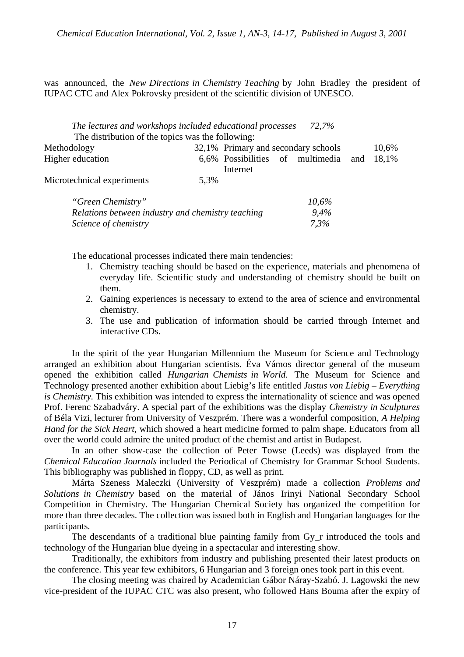was announced, the *New Directions in Chemistry Teaching* by John Bradley the president of IUPAC CTC and Alex Pokrovsky president of the scientific division of UNESCO.

| The lectures and workshops included educational processes |      |                                     |  | 72.7% |     |       |
|-----------------------------------------------------------|------|-------------------------------------|--|-------|-----|-------|
| The distribution of the topics was the following:         |      |                                     |  |       |     |       |
| Methodology                                               |      | 32,1% Primary and secondary schools |  |       |     | 10,6% |
| Higher education                                          |      | 6,6% Possibilities of multimedia    |  |       | and | 18,1% |
|                                                           |      | Internet                            |  |       |     |       |
| Microtechnical experiments                                | 5.3% |                                     |  |       |     |       |
| "Green Chemistry"                                         |      |                                     |  | 10,6% |     |       |
| Relations between industry and chemistry teaching         |      | $9.4\%$                             |  |       |     |       |

The educational processes indicated there main tendencies:

*Science of chemistry 7,3%*

- 1. Chemistry teaching should be based on the experience, materials and phenomena of everyday life. Scientific study and understanding of chemistry should be built on them.
- 2. Gaining experiences is necessary to extend to the area of science and environmental chemistry.
- 3. The use and publication of information should be carried through Internet and interactive CDs.

In the spirit of the year Hungarian Millennium the Museum for Science and Technology arranged an exhibition about Hungarian scientists. Éva Vámos director general of the museum opened the exhibition called *Hungarian Chemists in World*. The Museum for Science and Technology presented another exhibition about Liebig's life entitled *Justus von Liebig – Everything is Chemistry.* This exhibition was intended to express the internationality of science and was opened Prof. Ferenc Szabadváry. A special part of the exhibitions was the display *Chemistry in Sculptures* of Béla Vizi, lecturer from University of Veszprém. There was a wonderful composition, *A Helping Hand for the Sick Heart,* which showed a heart medicine formed to palm shape. Educators from all over the world could admire the united product of the chemist and artist in Budapest.

In an other show-case the collection of Peter Towse (Leeds) was displayed from the *Chemical Education Journals* included the Periodical of Chemistry for Grammar School Students. This bibliography was published in floppy, CD, as well as print.

Márta Szeness Maleczki (University of Veszprém) made a collection *Problems and Solutions in Chemistry* based on the material of János Irinyi National Secondary School Competition in Chemistry. The Hungarian Chemical Society has organized the competition for more than three decades. The collection was issued both in English and Hungarian languages for the participants.

The descendants of a traditional blue painting family from Gy\_r introduced the tools and technology of the Hungarian blue dyeing in a spectacular and interesting show.

Traditionally, the exhibitors from industry and publishing presented their latest products on the conference. This year few exhibitors, 6 Hungarian and 3 foreign ones took part in this event.

The closing meeting was chaired by Academician Gábor Náray-Szabó. J. Lagowski the new vice-president of the IUPAC CTC was also present, who followed Hans Bouma after the expiry of